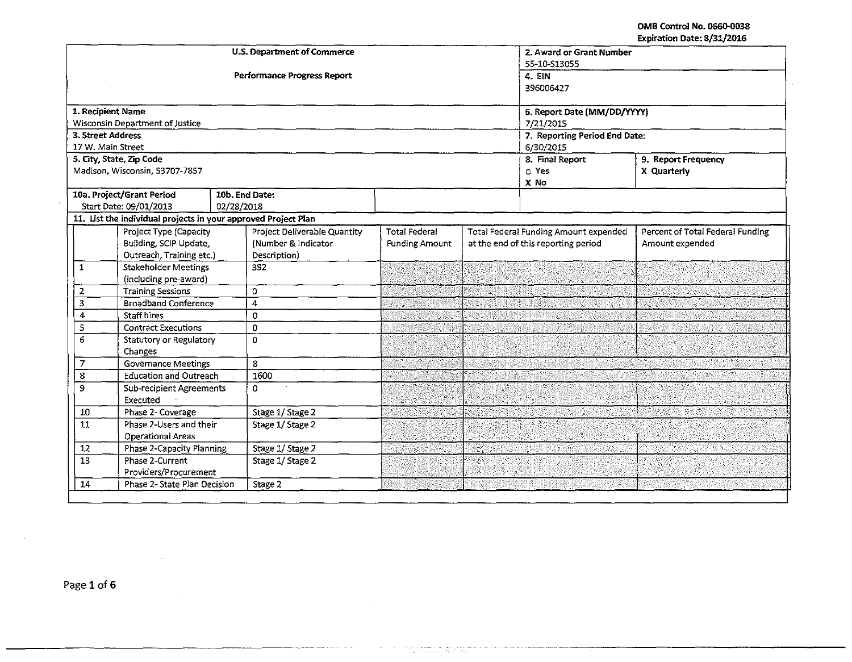|                                              |                                                                | <b>U.S. Department of Commerce</b> | 2. Award or Grant Number<br>S5-10-S13055 |  |                                              |                                  |
|----------------------------------------------|----------------------------------------------------------------|------------------------------------|------------------------------------------|--|----------------------------------------------|----------------------------------|
|                                              |                                                                | <b>Performance Progress Report</b> | 4. EIN                                   |  |                                              |                                  |
|                                              |                                                                |                                    | 396006427                                |  |                                              |                                  |
|                                              | 1. Recipient Name                                              |                                    | 6. Report Date (MM/DD/YYYY)              |  |                                              |                                  |
|                                              | Wisconsin Department of Justice                                |                                    |                                          |  | 7/21/2015                                    |                                  |
|                                              | 3. Street Address                                              |                                    | 7. Reporting Period End Date:            |  |                                              |                                  |
|                                              | 17 W. Main Street                                              |                                    | 6/30/2015                                |  |                                              |                                  |
|                                              | 5. City, State, Zip Code                                       |                                    |                                          |  | 8. Final Report                              | 9. Report Frequency              |
|                                              | Madison, Wisconsin, 53707-7857                                 |                                    |                                          |  | $\Box$ Yes                                   | X Quarterly                      |
|                                              |                                                                |                                    |                                          |  | X No                                         |                                  |
|                                              | 10a. Project/Grant Period                                      | 10b. End Date:                     |                                          |  |                                              |                                  |
|                                              | Start Date: 09/01/2013                                         | 02/28/2018                         |                                          |  |                                              |                                  |
|                                              | 11. List the individual projects in your approved Project Plan |                                    |                                          |  |                                              |                                  |
|                                              | Project Type (Capacity                                         | Project Deliverable Quantity       | <b>Total Federal</b>                     |  | <b>Total Federal Funding Amount expended</b> | Percent of Total Federal Funding |
|                                              | Building, SCIP Update,                                         | (Number & Indicator                | <b>Funding Amount</b>                    |  | at the end of this reporting period          | Amount expended                  |
|                                              | Outreach, Training etc.)<br><b>Stakeholder Meetings</b>        | Description)<br>392                |                                          |  |                                              |                                  |
| $\mathbf{1}$                                 | (including pre-award)                                          |                                    |                                          |  |                                              |                                  |
| 2                                            | <b>Training Sessions</b>                                       | 0                                  |                                          |  |                                              |                                  |
| $\overline{\mathbf{3}}$                      | <b>Broadband Conference</b>                                    | 4                                  |                                          |  |                                              |                                  |
| 4                                            | <b>Staff hires</b>                                             | $\Omega$                           |                                          |  |                                              |                                  |
| 5                                            | <b>Contract Executions</b>                                     | $\mathbf 0$                        |                                          |  |                                              |                                  |
| 6                                            | <b>Statutory or Regulatory</b>                                 | $\Omega$                           |                                          |  |                                              |                                  |
|                                              | Changes                                                        |                                    |                                          |  |                                              |                                  |
| $\overline{7}$<br><b>Governance Meetings</b> |                                                                | 8                                  |                                          |  |                                              |                                  |
| 8                                            | <b>Education and Outreach</b>                                  | 1600                               |                                          |  |                                              |                                  |
| 9                                            | <b>Sub-recipient Agreements</b>                                | 0                                  |                                          |  |                                              |                                  |
|                                              | Executed                                                       |                                    |                                          |  |                                              |                                  |
| 10                                           | Phase 2- Coverage                                              | Stage 1/Stage 2                    |                                          |  |                                              |                                  |
| 11                                           | Phase 2-Users and their                                        | Stage 1/Stage 2                    |                                          |  |                                              |                                  |
|                                              | <b>Operational Areas</b>                                       |                                    |                                          |  |                                              |                                  |
| $12$                                         | <b>Phase 2-Capacity Planning</b>                               | Stage 1/ Stage 2                   |                                          |  |                                              |                                  |
| 13                                           | Phase 2-Current                                                | Stage 1/Stage 2                    |                                          |  |                                              |                                  |
|                                              | Providers/Procurement                                          |                                    |                                          |  |                                              |                                  |
| 14                                           | Phase 2- State Plan Decision                                   | Stage 2                            |                                          |  |                                              |                                  |

 $\sim$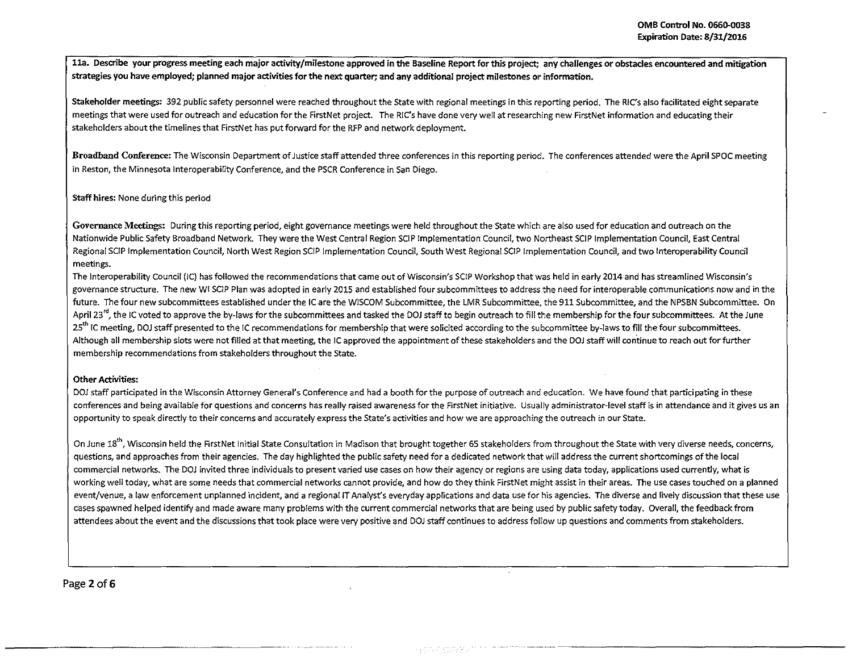11a. Describe your progress meeting each major activity/milestone approved in the Baseline Report for this project; any challenges or obstacles encountered and mitigation strategies you have employed; planned major activities for the next quarter; and any additional project milestones or information.

Stakeholder meetings: 392 public safety personnel were reached throughout the State with regional meetings in this reporting period. The RIC's also facilitated eight separate meetings that were used for outreach and education for the FirstNet project. The RIC's have done very well at researching new FirstNet information and educating their stakeholders about the timelines that FirstNet has put forward for the RFP and network deployment.

Broadband Conference: The Wisconsin Department of Justice staff attended three conferences in this reporting period. The conferences attended were the April SPOC meeting in Reston, the Minnesota lnteroperability Conference, and the PSCR Conference in San Diego.

## Staff hires: None during this period

Governance Meetings: During this reporting period, eight governance meetings were held throughout the State which are also used for education and outreach on the Nationwide Public Safety Broadband Network. They were the West Central Region SCIP Implementation Council, two Northeast SCIP Implementation Council, East Central Regional SCIP Implementation Council, North West Region SCIP Implementation Council, South West Regional SCIP Implementation Council, and two lnteroperability Council meetings.

The Interoperability Council (IC) has followed the recommendations that came out of Wisconsin's SCIP Workshop that was held in early 2014 and has streamlined Wisconsin's governance structure. The new WI SC!P Plan was adopted in early 2015 and established four subcommittees to address the need for interoperable communications now and in the future. The four new subcommittees established under the IC are the WISCOM Subcommittee, the LMR Subcommittee, the 911 Subcommittee, and the NPSBN Subcommittee. On April 23<sup>rd</sup>, the IC voted to approve the by-laws for the subcommittees and tasked the DOJ staff to begin outreach to fill the membership for the four subcommittees. At the June 25<sup>th</sup> IC meeting, DOJ staff presented to the IC recommendations for membership that were solicited according to the subcommittee by-laws to fill the four subcommittees. Although all membership slots were not filled at that meeting, the IC approved the appointment of these stakeholders and the DOJ staff will continue to reach out for further membership recommendations from stakeholders throughout the State.

### Other Activities:

DOJ staff participated in the Wisconsin Attorney General's Conference and had a booth for the purpose of outreach and education. We have found that participating in these conferences and being available for questions and concerns has really raised awareness for the FirstNet initiative. Usually administrator-level staff is in attendance and it gives us an opportunity to speak directly to their concerns and accurately express the State's activities and how we are approaching the outreach in our State.

On June 18<sup>th</sup>, Wisconsin held the FirstNet Initial State Consultation in Madison that brought together 65 stakeholders from throughout the State with very diverse needs, concerns, questions, and approaches from their agencies. The day highlighted the public safety need for a dedicated network that will address the current shortcomings ofthe local commercial networks. The DOJ invited three individuals to present varied use cases on how their agency or regions are using data today, applications used currently, what is working well today, what are some needs that commercial networks cannot provide, and how do they think FirstNet might assist in their areas. The use cases touched on a planned event/venue, a law enforcement unplanned incident, and a regional IT Analyst's everyday applications and data use for his agencies. The diverse and lively discussion that these use cases spawned helped identify and made aware many problems with the current commercial networks that are being used by public safety today. Overall, the feedback from attendees about the event and the discussions that took place were very positive and DOJ staff continues to address follow up questions and comments from stakeholders.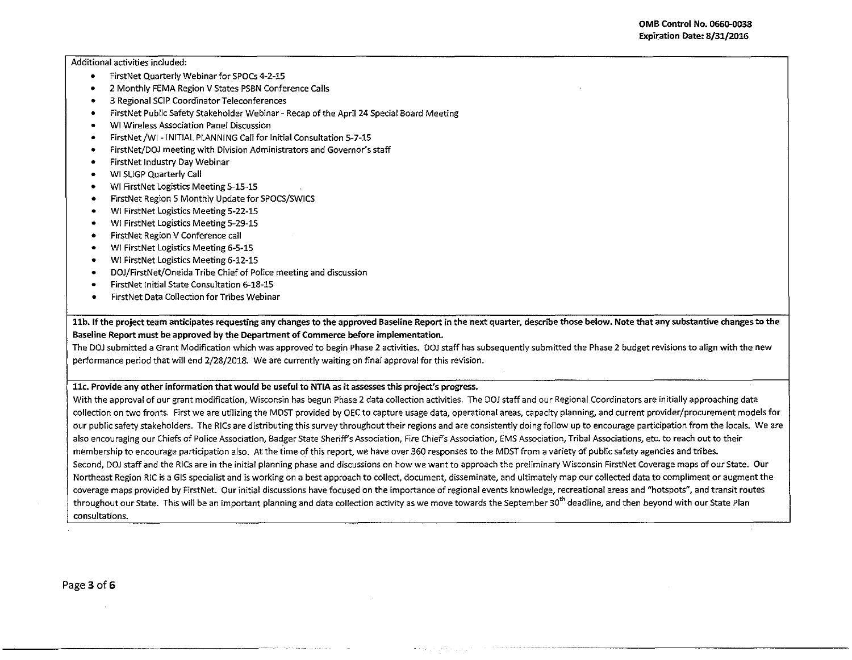Additional activities included:

- FirstNet Quarterly Webinar for SPOCs 4-2-15
- 2 Monthly FEMA Region V States PSBN Conference Calls
- 3 Regional SCIP Coordinator Teleconferences
- FirstNet Public Safety Stakeholder Webinar- Recap of the April 24 Special Board Meeting
- WI Wireless Association Panel Discussion
- FirstNet/WI-INITIAL PLANNING Call for Initial Consultation 5-7-15
- FirstNet/DOJ meeting with Division Administrators and Governor's staff
- FirstNet Industry Day Webinar
- WI SLIGP Quarterly Call
- WI FirstNet Logistics Meeting 5-15-15
- FirstNet Region 5 Monthly Update for SPOCS/SWICS
- WI FirstNet Logistics Meeting 5-22-15
- WI FirstNet Logistics Meeting 5-29-15
- FirstNet Region V Conference call
- WI FirstNet Logistics Meeting 6-5-15
- WI FirstNet Logistics Meeting 6-12-15
- DOJ/FirstNet/Oneida Tribe Chief of Police meeting and discussion
- FirstNet Initial State Consultation 6-18-15
- FirstNet Data Collection for Tribes Webinar

11b. If the project team anticipates requesting any changes to the approved Baseline Report in the next quarter, describe those below. Note that any substantive changes to the Baseline Report must be approved by the Department of Commerce before implementation.

The DOJ submitted a Grant Modification which was approved to begin Phase 2 activities. DOJ staff has subsequently submitted the Phase 2 budget revisions to align with the new performance period that will end 2/28/2018. We are currently waiting on final approval for this revision.

### llc. Provide any other information that would be useful to NTIA as it assesses this project's progress.

With the approval of our grant modification, Wisconsin has begun Phase 2 data collection activities. The DOJ staff and our Regional Coordinators are initially approaching data collection on two fronts. First we are utilizing the MOST provided by OEC to capture usage data, operational areas, capacity planning, and current provider/procurement models for our public safety stakeholders. The RICs are distributing this survey throughout their regions and are consistently doing follow up to encourage participation from the locals. We are also encouraging our Chiefs of Police Association, Badger State Sheriff's Association, Fire Chief's Association, EMS Association, Tribal Associations, etc. to reach out to their membership to encourage participation also. At the time of this report, we have over 360 responses to the MDST from a variety of public safety agencies and tribes. Second, DOJ staff and the RICs are in the initial planning phase and discussions on how we want to approach the preliminary Wisconsin FirstNet Coverage maps of our State. Our Northeast Region RIC is a GIS specialist and is working on a best approach to collect, document, disseminate, and ultimately map our collected data to compliment or augment the coverage maps provided by FirstNet. Our initial discussions have focused on the importance of regional events knowledge, recreational areas and "hotspots", and transit routes throughout our State. This will be an important planning and data collection activity as we move towards the September 30<sup>th</sup> deadline, and then beyond with our State Plan consultations.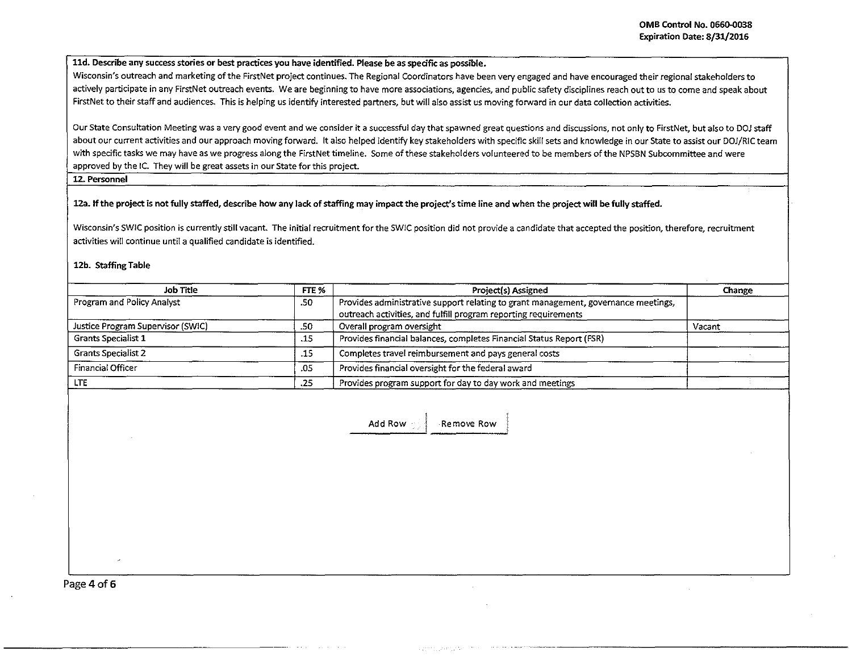lld. Describe any success stories or best practices you have identified. Please be as specific as possible.

Wisconsin's outreach and marketing of the FirstNet project continues. The Regional Coordinators have been very engaged and have encouraged their regional stakeholders to actively participate in any FirstNet outreach events. We are beginning to have more associations, agencies, and public safety disciplines reach out to us to come and speak about FirstNet to their staff and audiences. This is helping us identify interested partners, but will also assist us moving forward in our data collection activities.

Our State Consultation Meeting was a very good event and we consider it a successful day that spawned great questions and discussions, not only to FirstNet, but also to DOJ staff about our current activities and our approach moving forward. It also helped identify key stakeholders with specific skill sets and knowledge in our State to assist our DOJ/RIC team with specific tasks we may have as we progress along the FirstNet timeline. Some of these stakeholders volunteered to be members of the NPSBN Subcommittee and were approved by the IC. They will be great assets in our State for this project.

## 12. Personnel

12a. If the project is not fully staffed, describe how any lack of staffing may impact the project's time line and when the project will be fully staffed.

Wisconsin's SWIC position is currently still vacant. The initial recruitment for the SW!C position did not provide a candidate that accepted the position, therefore, recruitment activities will continue until a qualified candidate is identified.

### 12b. Staffing Table

| Job Title                         | FTE % | Project(s) Assigned                                                                                                                                   | Change |
|-----------------------------------|-------|-------------------------------------------------------------------------------------------------------------------------------------------------------|--------|
| Program and Policy Analyst        | .50   | Provides administrative support relating to grant management, governance meetings,<br>outreach activities, and fulfill program reporting requirements |        |
| Justice Program Supervisor (SWIC) | .50   | Overall program oversight                                                                                                                             | Vacant |
| <b>Grants Specialist 1</b>        | .15   | Provides financial balances, completes Financial Status Report (FSR)                                                                                  |        |
| <b>Grants Specialist 2</b>        | .15   | Completes travel reimbursement and pays general costs                                                                                                 |        |
| <b>Financial Officer</b>          | .05   | Provides financial oversight for the federal award                                                                                                    |        |
| LTE.                              | .25   | Provides program support for day to day work and meetings                                                                                             |        |

Add Row **Remove Row** 

Page 4 of 6

'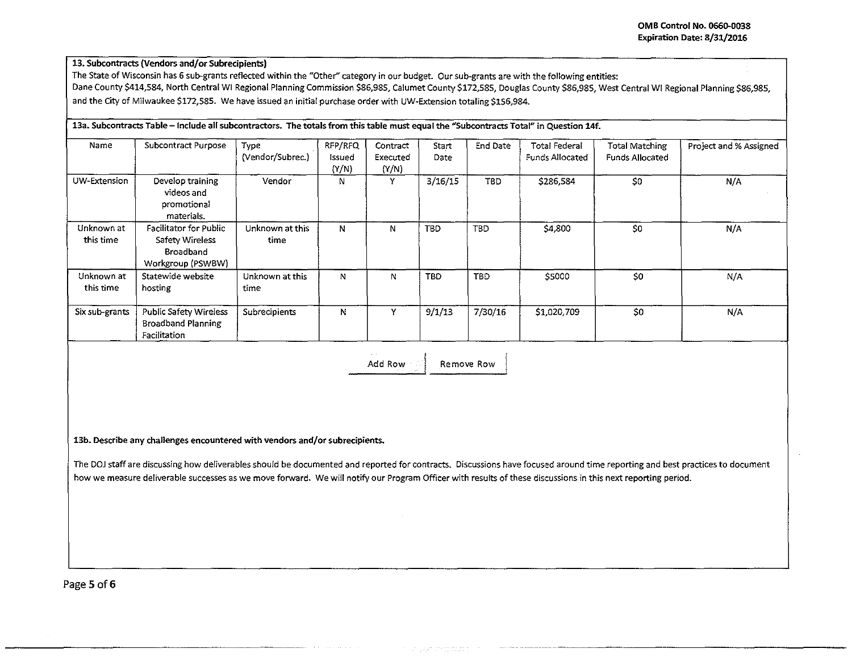## 13. Subcontracts {Vendors and/or Subrecipients)

The State of Wisconsin has 6 sub-grants reflected within the "Other" category in our budget. Our sub~grants are with the following entities: Dane County \$414,584, North Central WI Regional Planning Commission \$86,985, Calumet County \$172,585, Douglas County \$86,985, West Central WI Regional Planning \$86,985, and the City of Milwaukee \$172,585. We have issued an initial purchase order with UW-Extension totaling \$156,984.

# 13a. Subcontracts Table - Include all subcontractors. The totals from this table must equal the "Subcontracts Total" in Question 14f. Name Subcontract Purpose Type (RFP/RFQ Contract Start End Date Total Federal Total Matching Project and %Assigned (Vendor/Subrec.) Issued Executed Date Funds Allocated Funds Allocated (Y/N) (Y/N) UW-Extension Develop training  $\vert$  Vendor  $\vert$  N  $\vert$  Y  $\vert$  3/16/15 TBD  $$286,584$   $$0$   $N/A$ videos and I promotional materials. Unknown at | Facilitator for Public | Unknown at this | N | N | TBD | TBD | \$4,800 | \$0 | N/A this time | Safety Wireless | time Broadband Workgroup (PSWBW) Unknown at Statewide website | Unknown at this N N N N N TBD | \$5000 \$0 SO N/A this time hosting time Six sub-grants Public Safety Wireless Subrecipients N | Y | 9/1/13 | 7/30/16 | \$1,020,709 | \$0 | N/A Broadband Planning Facilitation

Add Row **I** Remove Row

13b. Describe any challenges encountered with vendors and/or subrecipients.

The DOJ staff are discussing how deliverables should be documented and reported for contracts. Discussions have focused around time reporting and best practices to document how we measure deliverable successes as we move forward. We will notify our Program Officer with results of these discussions in this next reporting period.

L\_\_\_ --- -- -- -- -- --- -- -- --- -- ---- ·---

Page 5 of 6